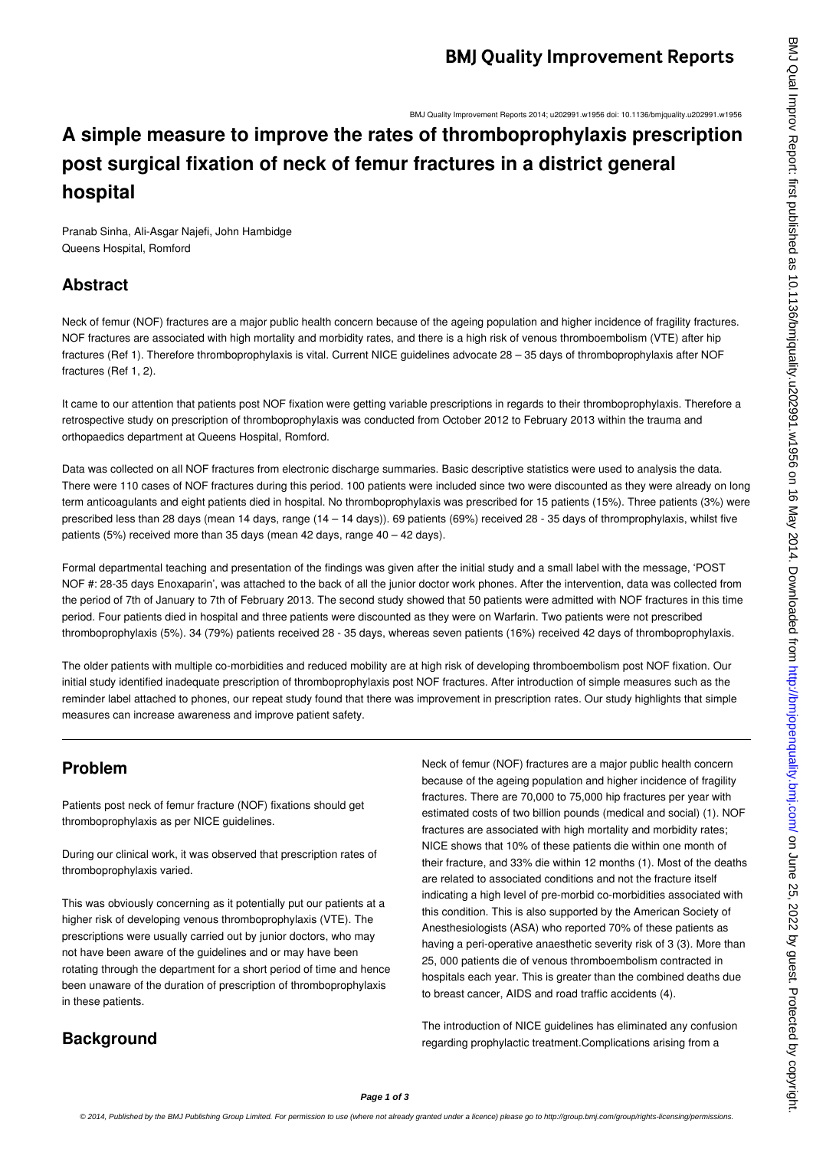BMJ Quality Improvement Reports 2014; u202991.w1956 doi: 10.1136/bmjquality.u202991.w1956

# **A simple measure to improve the rates of thromboprophylaxis prescription post surgical fixation of neck of femur fractures in a district general hospital**

Pranab Sinha, Ali-Asgar Najefi, John Hambidge Queens Hospital, Romford

#### **Abstract**

Neck of femur (NOF) fractures are a major public health concern because of the ageing population and higher incidence of fragility fractures. NOF fractures are associated with high mortality and morbidity rates, and there is a high risk of venous thromboembolism (VTE) after hip fractures (Ref 1). Therefore thromboprophylaxis is vital. Current NICE guidelines advocate 28 – 35 days of thromboprophylaxis after NOF fractures (Ref 1, 2).

It came to our attention that patients post NOF fixation were getting variable prescriptions in regards to their thromboprophylaxis. Therefore a retrospective study on prescription of thromboprophylaxis was conducted from October 2012 to February 2013 within the trauma and orthopaedics department at Queens Hospital, Romford.

Data was collected on all NOF fractures from electronic discharge summaries. Basic descriptive statistics were used to analysis the data. There were 110 cases of NOF fractures during this period. 100 patients were included since two were discounted as they were already on long term anticoagulants and eight patients died in hospital. No thromboprophylaxis was prescribed for 15 patients (15%). Three patients (3%) were prescribed less than 28 days (mean 14 days, range (14 – 14 days)). 69 patients (69%) received 28 - 35 days of thromprophylaxis, whilst five patients (5%) received more than 35 days (mean 42 days, range 40 – 42 days).

Formal departmental teaching and presentation of the findings was given after the initial study and a small label with the message, 'POST NOF #: 28-35 days Enoxaparin', was attached to the back of all the junior doctor work phones. After the intervention, data was collected from the period of 7th of January to 7th of February 2013. The second study showed that 50 patients were admitted with NOF fractures in this time period. Four patients died in hospital and three patients were discounted as they were on Warfarin. Two patients were not prescribed thromboprophylaxis (5%). 34 (79%) patients received 28 - 35 days, whereas seven patients (16%) received 42 days of thromboprophylaxis.

The older patients with multiple co-morbidities and reduced mobility are at high risk of developing thromboembolism post NOF fixation. Our initial study identified inadequate prescription of thromboprophylaxis post NOF fractures. After introduction of simple measures such as the reminder label attached to phones, our repeat study found that there was improvement in prescription rates. Our study highlights that simple measures can increase awareness and improve patient safety.

### **Problem**

Patients post neck of femur fracture (NOF) fixations should get thromboprophylaxis as per NICE guidelines.

During our clinical work, it was observed that prescription rates of thromboprophylaxis varied.

This was obviously concerning as it potentially put our patients at a higher risk of developing venous thromboprophylaxis (VTE). The prescriptions were usually carried out by junior doctors, who may not have been aware of the guidelines and or may have been rotating through the department for a short period of time and hence been unaware of the duration of prescription of thromboprophylaxis in these patients.

Neck of femur (NOF) fractures are a major public health concern because of the ageing population and higher incidence of fragility fractures. There are 70,000 to 75,000 hip fractures per year with estimated costs of two billion pounds (medical and social) (1). NOF fractures are associated with high mortality and morbidity rates; NICE shows that 10% of these patients die within one month of their fracture, and 33% die within 12 months (1). Most of the deaths are related to associated conditions and not the fracture itself indicating a high level of pre-morbid co-morbidities associated with this condition. This is also supported by the American Society of Anesthesiologists (ASA) who reported 70% of these patients as having a peri-operative anaesthetic severity risk of 3 (3). More than 25, 000 patients die of venous thromboembolism contracted in hospitals each year. This is greater than the combined deaths due to breast cancer, AIDS and road traffic accidents (4).

The introduction of NICE guidelines has eliminated any confusion regarding prophylactic treatment.Complications arising from a

### **Background**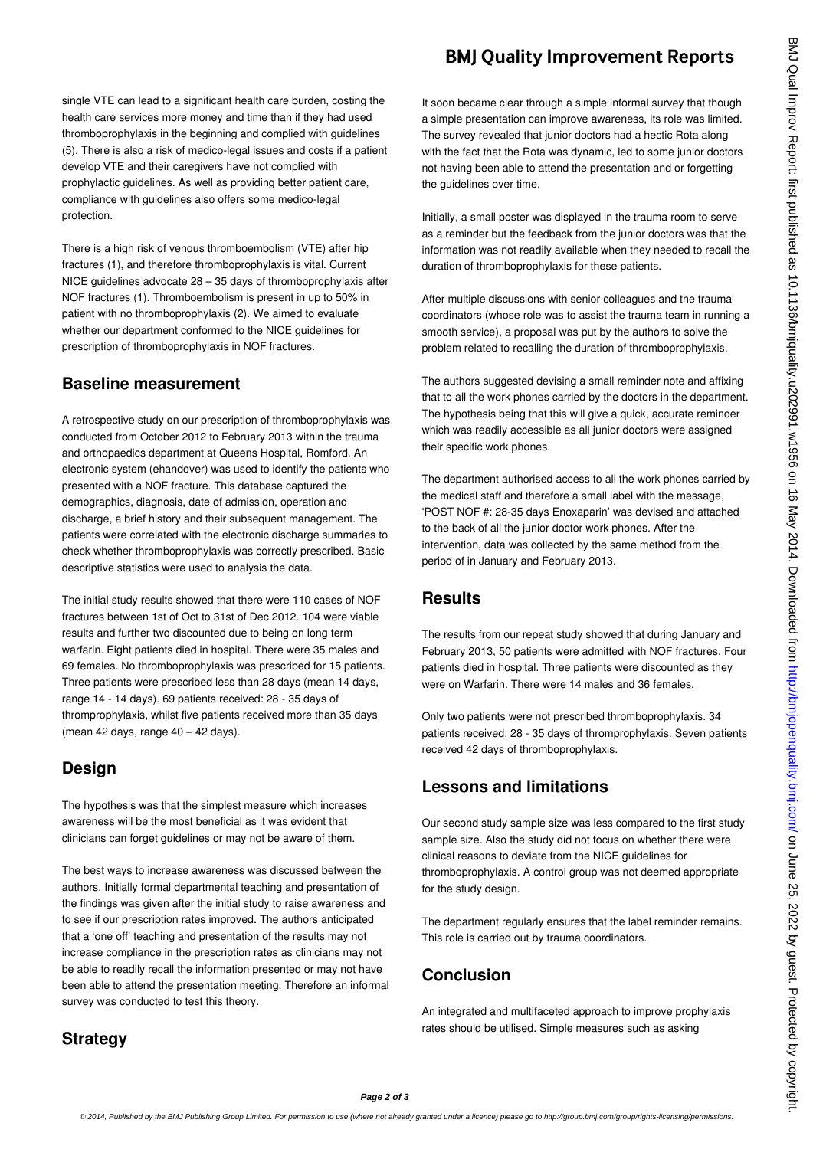# **BMJ Quality Improvement Reports**

single VTE can lead to a significant health care burden, costing the health care services more money and time than if they had used thromboprophylaxis in the beginning and complied with guidelines (5). There is also a risk of medico-legal issues and costs if a patient develop VTE and their caregivers have not complied with prophylactic guidelines. As well as providing better patient care, compliance with guidelines also offers some medico-legal protection.

There is a high risk of venous thromboembolism (VTE) after hip fractures (1), and therefore thromboprophylaxis is vital. Current NICE guidelines advocate 28 – 35 days of thromboprophylaxis after NOF fractures (1). Thromboembolism is present in up to 50% in patient with no thromboprophylaxis (2). We aimed to evaluate whether our department conformed to the NICE guidelines for prescription of thromboprophylaxis in NOF fractures.

### **Baseline measurement**

A retrospective study on our prescription of thromboprophylaxis was conducted from October 2012 to February 2013 within the trauma and orthopaedics department at Queens Hospital, Romford. An electronic system (ehandover) was used to identify the patients who presented with a NOF fracture. This database captured the demographics, diagnosis, date of admission, operation and discharge, a brief history and their subsequent management. The patients were correlated with the electronic discharge summaries to check whether thromboprophylaxis was correctly prescribed. Basic descriptive statistics were used to analysis the data.

The initial study results showed that there were 110 cases of NOF fractures between 1st of Oct to 31st of Dec 2012. 104 were viable results and further two discounted due to being on long term warfarin. Eight patients died in hospital. There were 35 males and 69 females. No thromboprophylaxis was prescribed for 15 patients. Three patients were prescribed less than 28 days (mean 14 days, range 14 - 14 days). 69 patients received: 28 - 35 days of thromprophylaxis, whilst five patients received more than 35 days (mean 42 days, range 40 – 42 days).

## **Design**

The hypothesis was that the simplest measure which increases awareness will be the most beneficial as it was evident that clinicians can forget guidelines or may not be aware of them.

The best ways to increase awareness was discussed between the authors. Initially formal departmental teaching and presentation of the findings was given after the initial study to raise awareness and to see if our prescription rates improved. The authors anticipated that a 'one off' teaching and presentation of the results may not increase compliance in the prescription rates as clinicians may not be able to readily recall the information presented or may not have been able to attend the presentation meeting. Therefore an informal survey was conducted to test this theory.

It soon became clear through a simple informal survey that though a simple presentation can improve awareness, its role was limited. The survey revealed that junior doctors had a hectic Rota along with the fact that the Rota was dynamic, led to some junior doctors not having been able to attend the presentation and or forgetting the guidelines over time.

Initially, a small poster was displayed in the trauma room to serve as a reminder but the feedback from the junior doctors was that the information was not readily available when they needed to recall the duration of thromboprophylaxis for these patients.

After multiple discussions with senior colleagues and the trauma coordinators (whose role was to assist the trauma team in running a smooth service), a proposal was put by the authors to solve the problem related to recalling the duration of thromboprophylaxis.

The authors suggested devising a small reminder note and affixing that to all the work phones carried by the doctors in the department. The hypothesis being that this will give a quick, accurate reminder which was readily accessible as all junior doctors were assigned their specific work phones.

The department authorised access to all the work phones carried by the medical staff and therefore a small label with the message, 'POST NOF #: 28-35 days Enoxaparin' was devised and attached to the back of all the junior doctor work phones. After the intervention, data was collected by the same method from the period of in January and February 2013.

### **Results**

The results from our repeat study showed that during January and February 2013, 50 patients were admitted with NOF fractures. Four patients died in hospital. Three patients were discounted as they were on Warfarin. There were 14 males and 36 females.

Only two patients were not prescribed thromboprophylaxis. 34 patients received: 28 - 35 days of thromprophylaxis. Seven patients received 42 days of thromboprophylaxis.

## **Lessons and limitations**

Our second study sample size was less compared to the first study sample size. Also the study did not focus on whether there were clinical reasons to deviate from the NICE guidelines for thromboprophylaxis. A control group was not deemed appropriate for the study design.

The department regularly ensures that the label reminder remains. This role is carried out by trauma coordinators.

## **Conclusion**

An integrated and multifaceted approach to improve prophylaxis rates should be utilised. Simple measures such as asking

BMJ Qual Improv Report: first published as 10.1136/bmjquality.u202991.w1956 on 16 May 2014. Downloaded from http://bmjopenquality.bmj.com/ on June 25, 2022 by guest. Protected by copyright BMJ Qual Improv Report: first published as 10.1136/bmjquality.u202991.w1956 on 16 May 2014. Downloaded from Amprodod from Rep://bmj.com/ on June 25, 2022 by guest. Protected by copyright.

## **Strategy**